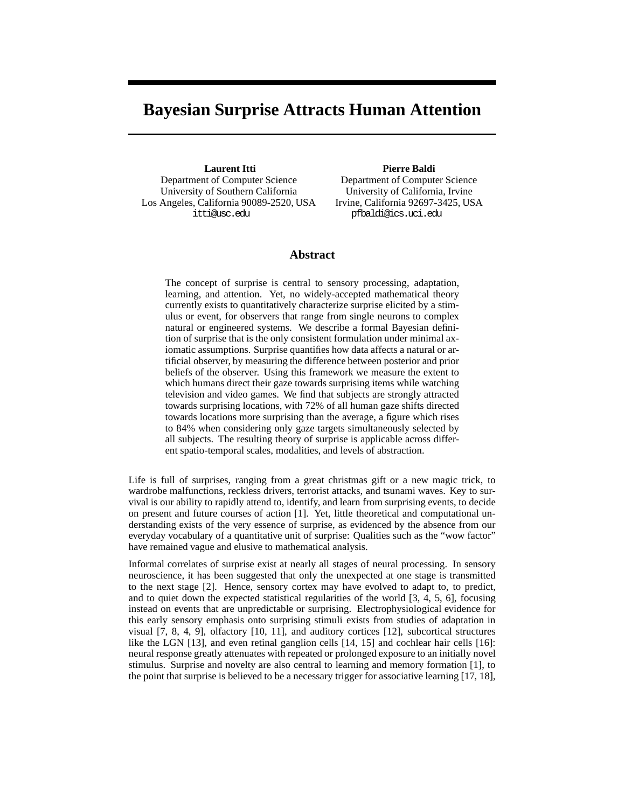# **Bayesian Surprise Attracts Human Attention**

**Laurent Itti** Department of Computer Science University of Southern California Los Angeles, California 90089-2520, USA itti@usc.edu

#### **Pierre Baldi**

Department of Computer Science University of California, Irvine Irvine, California 92697-3425, USA pfbaldi@ics.uci.edu

## **Abstract**

The concept of surprise is central to sensory processing, adaptation, learning, and attention. Yet, no widely-accepted mathematical theory currently exists to quantitatively characterize surprise elicited by a stimulus or event, for observers that range from single neurons to complex natural or engineered systems. We describe a formal Bayesian definition of surprise that is the only consistent formulation under minimal axiomatic assumptions. Surprise quantifies how data affects a natural or artificial observer, by measuring the difference between posterior and prior beliefs of the observer. Using this framework we measure the extent to which humans direct their gaze towards surprising items while watching television and video games. We find that subjects are strongly attracted towards surprising locations, with 72% of all human gaze shifts directed towards locations more surprising than the average, a figure which rises to 84% when considering only gaze targets simultaneously selected by all subjects. The resulting theory of surprise is applicable across different spatio-temporal scales, modalities, and levels of abstraction.

Life is full of surprises, ranging from a great christmas gift or a new magic trick, to wardrobe malfunctions, reckless drivers, terrorist attacks, and tsunami waves. Key to survival is our ability to rapidly attend to, identify, and learn from surprising events, to decide on present and future courses of action [1]. Yet, little theoretical and computational understanding exists of the very essence of surprise, as evidenced by the absence from our everyday vocabulary of a quantitative unit of surprise: Qualities such as the "wow factor" have remained vague and elusive to mathematical analysis.

Informal correlates of surprise exist at nearly all stages of neural processing. In sensory neuroscience, it has been suggested that only the unexpected at one stage is transmitted to the next stage [2]. Hence, sensory cortex may have evolved to adapt to, to predict, and to quiet down the expected statistical regularities of the world  $[3, 4, 5, 6]$ , focusing instead on events that are unpredictable or surprising. Electrophysiological evidence for this early sensory emphasis onto surprising stimuli exists from studies of adaptation in visual [7, 8, 4, 9], olfactory [10, 11], and auditory cortices [12], subcortical structures like the LGN [13], and even retinal ganglion cells [14, 15] and cochlear hair cells [16]: neural response greatly attenuates with repeated or prolonged exposure to an initially novel stimulus. Surprise and novelty are also central to learning and memory formation [1], to the point that surprise is believed to be a necessary trigger for associative learning [17, 18],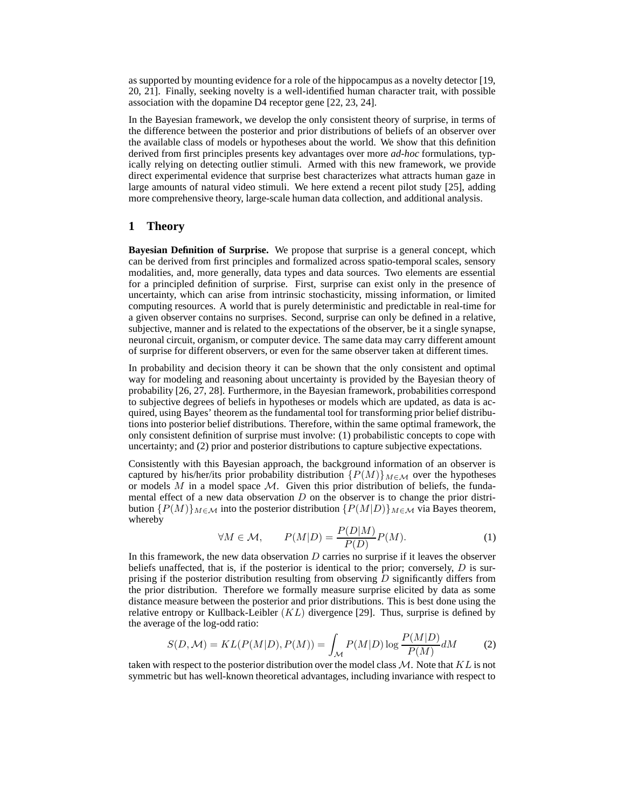as supported by mounting evidence for a role of the hippocampus as a novelty detector [19, 20, 21]. Finally, seeking novelty is a well-identified human character trait, with possible association with the dopamine D4 receptor gene [22, 23, 24].

In the Bayesian framework, we develop the only consistent theory of surprise, in terms of the difference between the posterior and prior distributions of beliefs of an observer over the available class of models or hypotheses about the world. We show that this definition derived from first principles presents key advantages over more *ad-hoc* formulations, typically relying on detecting outlier stimuli. Armed with this new framework, we provide direct experimental evidence that surprise best characterizes what attracts human gaze in large amounts of natural video stimuli. We here extend a recent pilot study [25], adding more comprehensive theory, large-scale human data collection, and additional analysis.

### **1 Theory**

**Bayesian Definition of Surprise.** We propose that surprise is a general concept, which can be derived from first principles and formalized across spatio-temporal scales, sensory modalities, and, more generally, data types and data sources. Two elements are essential for a principled definition of surprise. First, surprise can exist only in the presence of uncertainty, which can arise from intrinsic stochasticity, missing information, or limited computing resources. A world that is purely deterministic and predictable in real-time for a given observer contains no surprises. Second, surprise can only be defined in a relative, subjective, manner and is related to the expectations of the observer, be it a single synapse, neuronal circuit, organism, or computer device. The same data may carry different amount of surprise for different observers, or even for the same observer taken at different times.

In probability and decision theory it can be shown that the only consistent and optimal way for modeling and reasoning about uncertainty is provided by the Bayesian theory of probability [26, 27, 28]. Furthermore, in the Bayesian framework, probabilities correspond to subjective degrees of beliefs in hypotheses or models which are updated, as data is acquired, using Bayes' theorem as the fundamental tool for transforming prior belief distributions into posterior belief distributions. Therefore, within the same optimal framework, the only consistent definition of surprise must involve: (1) probabilistic concepts to cope with uncertainty; and (2) prior and posterior distributions to capture subjective expectations.

Consistently with this Bayesian approach, the background information of an observer is captured by his/her/its prior probability distribution  $\{P(M)\}_{M\in\mathcal{M}}$  over the hypotheses or models  $M$  in a model space  $M$ . Given this prior distribution of beliefs, the fundamental effect of a new data observation  $D$  on the observer is to change the prior distribution  $\{P(M)\}_{M\in\mathcal{M}}$  into the posterior distribution  $\{P(M|D)\}_{M\in\mathcal{M}}$  via Bayes theorem, whereby

$$
\forall M \in \mathcal{M}, \qquad P(M|D) = \frac{P(D|M)}{P(D)} P(M). \tag{1}
$$

In this framework, the new data observation D carries no surprise if it leaves the observer beliefs unaffected, that is, if the posterior is identical to the prior; conversely,  $D$  is surprising if the posterior distribution resulting from observing  $D$  significantly differs from the prior distribution. Therefore we formally measure surprise elicited by data as some distance measure between the posterior and prior distributions. This is best done using the relative entropy or Kullback-Leibler  $(KL)$  divergence [29]. Thus, surprise is defined by the average of the log-odd ratio:

$$
S(D, \mathcal{M}) = KL(P(M|D), P(M)) = \int_{\mathcal{M}} P(M|D) \log \frac{P(M|D)}{P(M)} dM \tag{2}
$$

taken with respect to the posterior distribution over the model class  $\mathcal{M}$ . Note that  $KL$  is not symmetric but has well-known theoretical advantages, including invariance with respect to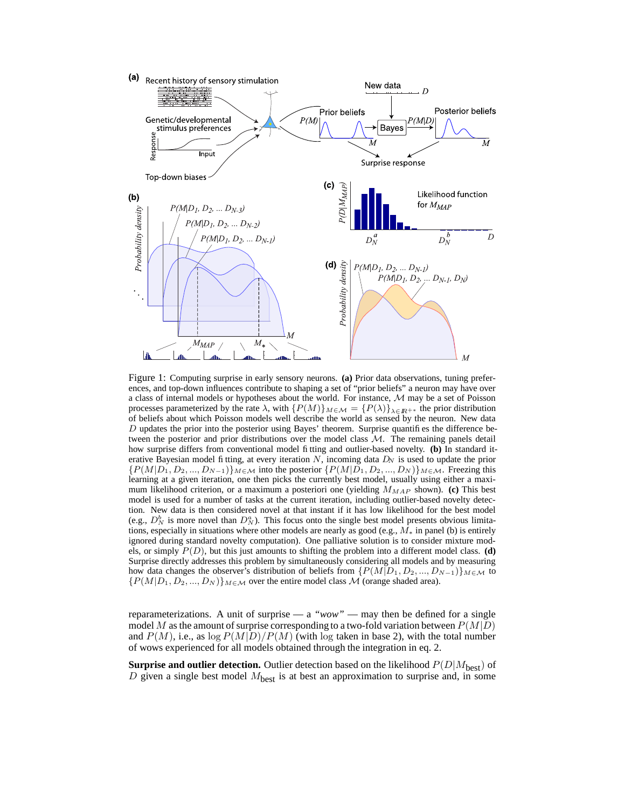

Figure 1: Computing surprise in early sensory neurons. **(a)** Prior data observations, tuning preferences, and top-down influences contribute to shaping a set of "prior beliefs" a neuron may have over a class of internal models or hypotheses about the world. For instance,  $M$  may be a set of Poisson processes parameterized by the rate  $\lambda$ , with  $\{P(M)\}_{M \in \mathcal{M}} = \{P(\lambda)\}_{\lambda \in \mathbb{R}^{+}}$  the prior distribution of beliefs about which Poisson models well describe the world as sensed by the neuron. New data  $D$  updates the prior into the posterior using Bayes' theorem. Surprise quantifies the difference between the posterior and prior distributions over the model class M. The remaining panels detail how surprise differs from conventional model fitting and outlier-based novelty. **(b)** In standard iterative Bayesian model fitting, at every iteration  $N$ , incoming data  $D<sub>N</sub>$  is used to update the prior  ${P(M|D_1, D_2, ..., D_{N-1})\}_{M \in \mathcal{M}}$  into the posterior  ${P(M|D_1, D_2, ..., D_N)\}_{M \in \mathcal{M}}$ . Freezing this learning at a given iteration, one then picks the currently best model, usually using either a maximum likelihood criterion, or a maximum a posteriori one (yielding  $M_{MAP}$  shown). **(c)** This best model is used for a number of tasks at the current iteration, including outlier-based novelty detection. New data is then considered novel at that instant if it has low likelihood for the best model (e.g.,  $D_N^b$  is more novel than  $D_N^a$ ). This focus onto the single best model presents obvious limitations, especially in situations where other models are nearly as good (e.g., M<sup>∗</sup> in panel (b) is entirely ignored during standard novelty computation). One palliative solution is to consider mixture models, or simply  $P(D)$ , but this just amounts to shifting the problem into a different model class. **(d)** Surprise directly addresses this problem by simultaneously considering all models and by measuring how data changes the observer's distribution of beliefs from  $\{P(M|D_1, D_2, ..., D_{N-1})\}_{M \in \mathcal{M}}$  to  ${P(M|D_1, D_2, ..., D_N)}_{M \in \mathcal{M}}$  over the entire model class M (orange shaded area).

reparameterizations. A unit of surprise — a *"wow"* — may then be defined for a single model M as the amount of surprise corresponding to a two-fold variation between  $P(M|D)$ and  $P(M)$ , i.e., as  $\log P(M|D)/P(M)$  (with log taken in base 2), with the total number of wows experienced for all models obtained through the integration in eq. 2.

**Surprise and outlier detection.** Outlier detection based on the likelihood  $P(D|M_{best})$  of D given a single best model  $M_{\text{best}}$  is at best an approximation to surprise and, in some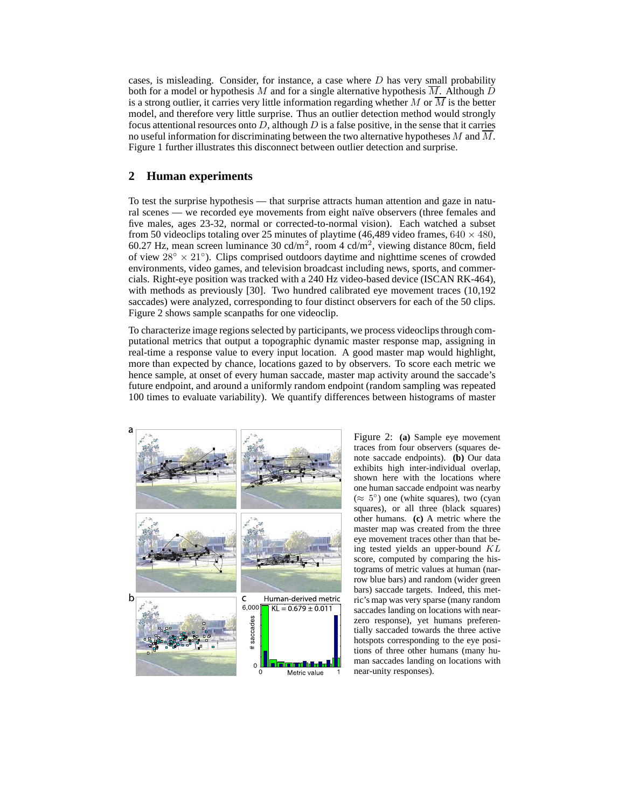cases, is misleading. Consider, for instance, a case where  $D$  has very small probability both for a model or hypothesis M and for a single alternative hypothesis  $\overline{M}$ . Although D is a strong outlier, it carries very little information regarding whether M or  $\overline{M}$  is the better model, and therefore very little surprise. Thus an outlier detection method would strongly focus attentional resources onto  $D$ , although  $D$  is a false positive, in the sense that it carries no useful information for discriminating between the two alternative hypotheses M and  $\overline{M}$ . Figure 1 further illustrates this disconnect between outlier detection and surprise.

## **2 Human experiments**

To test the surprise hypothesis — that surprise attracts human attention and gaze in natural scenes — we recorded eye movements from eight naïve observers (three females and five males, ages 23-32, normal or corrected-to-normal vision). Each watched a subset from 50 videoclips totaling over 25 minutes of playtime (46,489 video frames,  $640 \times 480$ , 60.27 Hz, mean screen luminance 30 cd/m<sup>2</sup>, room 4 cd/m<sup>2</sup>, viewing distance 80cm, field of view  $28° \times 21°$ ). Clips comprised outdoors daytime and nighttime scenes of crowded environments, video games, and television broadcast including news, sports, and commercials. Right-eye position was tracked with a 240 Hz video-based device (ISCAN RK-464), with methods as previously [30]. Two hundred calibrated eye movement traces (10,192 saccades) were analyzed, corresponding to four distinct observers for each of the 50 clips. Figure 2 shows sample scanpaths for one videoclip.

To characterize image regions selected by participants, we process videoclips through computational metrics that output a topographic dynamic master response map, assigning in real-time a response value to every input location. A good master map would highlight, more than expected by chance, locations gazed to by observers. To score each metric we hence sample, at onset of every human saccade, master map activity around the saccade's future endpoint, and around a uniformly random endpoint (random sampling was repeated 100 times to evaluate variability). We quantify differences between histograms of master



Figure 2: **(a)** Sample eye movement traces from four observers (squares denote saccade endpoints). **(b)** Our data exhibits high inter-individual overlap, shown here with the locations where one human saccade endpoint was nearby  $(\approx 5^{\circ})$  one (white squares), two (cyan squares), or all three (black squares) other humans. **(c)** A metric where the master map was created from the three eye movement traces other than that being tested yields an upper-bound KL score, computed by comparing the histograms of metric values at human (narrow blue bars) and random (wider green bars) saccade targets. Indeed, this metric's map was very sparse (many random saccades landing on locations with nearzero response), yet humans preferentially saccaded towards the three active hotspots corresponding to the eye positions of three other humans (many human saccades landing on locations with near-unity responses).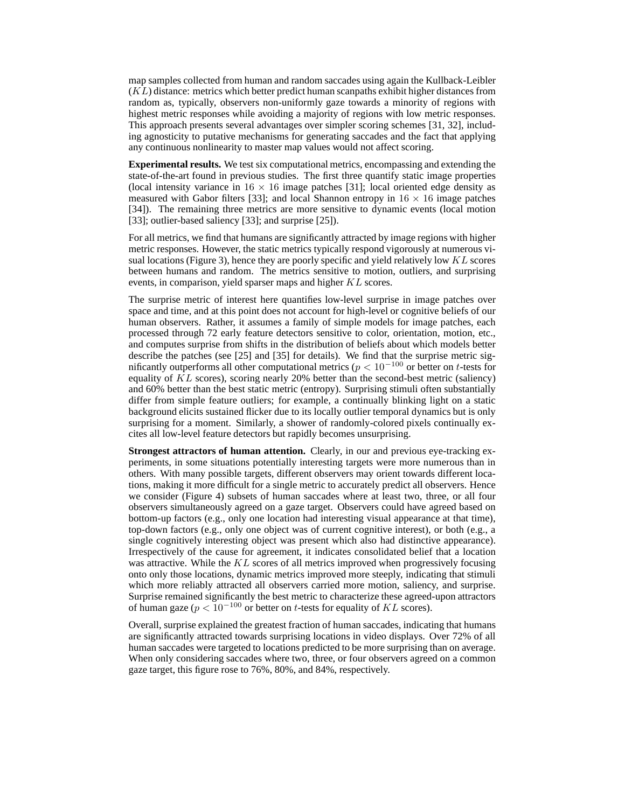map samples collected from human and random saccades using again the Kullback-Leibler  $(KL)$  distance: metrics which better predict human scanpaths exhibit higher distances from random as, typically, observers non-uniformly gaze towards a minority of regions with highest metric responses while avoiding a majority of regions with low metric responses. This approach presents several advantages over simpler scoring schemes [31, 32], including agnosticity to putative mechanisms for generating saccades and the fact that applying any continuous nonlinearity to master map values would not affect scoring.

**Experimental results.** We test six computational metrics, encompassing and extending the state-of-the-art found in previous studies. The first three quantify static image properties (local intensity variance in  $16 \times 16$  image patches [31]; local oriented edge density as measured with Gabor filters [33]; and local Shannon entropy in  $16 \times 16$  image patches [34]). The remaining three metrics are more sensitive to dynamic events (local motion [33]; outlier-based saliency [33]; and surprise [25]).

For all metrics, we find that humans are significantly attracted by image regions with higher metric responses. However, the static metrics typically respond vigorously at numerous visual locations (Figure 3), hence they are poorly specific and yield relatively low  $KL$  scores between humans and random. The metrics sensitive to motion, outliers, and surprising events, in comparison, yield sparser maps and higher KL scores.

The surprise metric of interest here quantifies low-level surprise in image patches over space and time, and at this point does not account for high-level or cognitive beliefs of our human observers. Rather, it assumes a family of simple models for image patches, each processed through 72 early feature detectors sensitive to color, orientation, motion, etc., and computes surprise from shifts in the distribution of beliefs about which models better describe the patches (see [25] and [35] for details). We find that the surprise metric significantly outperforms all other computational metrics ( $p < 10^{-100}$  or better on t-tests for equality of  $\tilde{KL}$  scores), scoring nearly 20% better than the second-best metric (saliency) and 60% better than the best static metric (entropy). Surprising stimuli often substantially differ from simple feature outliers; for example, a continually blinking light on a static background elicits sustained flicker due to its locally outlier temporal dynamics but is only surprising for a moment. Similarly, a shower of randomly-colored pixels continually excites all low-level feature detectors but rapidly becomes unsurprising.

**Strongest attractors of human attention.** Clearly, in our and previous eye-tracking experiments, in some situations potentially interesting targets were more numerous than in others. With many possible targets, different observers may orient towards different locations, making it more difficult for a single metric to accurately predict all observers. Hence we consider (Figure 4) subsets of human saccades where at least two, three, or all four observers simultaneously agreed on a gaze target. Observers could have agreed based on bottom-up factors (e.g., only one location had interesting visual appearance at that time), top-down factors (e.g., only one object was of current cognitive interest), or both (e.g., a single cognitively interesting object was present which also had distinctive appearance). Irrespectively of the cause for agreement, it indicates consolidated belief that a location was attractive. While the  $KL$  scores of all metrics improved when progressively focusing onto only those locations, dynamic metrics improved more steeply, indicating that stimuli which more reliably attracted all observers carried more motion, saliency, and surprise. Surprise remained significantly the best metric to characterize these agreed-upon attractors of human gaze ( $p < 10^{-100}$  or better on t-tests for equality of KL scores).

Overall, surprise explained the greatest fraction of human saccades, indicating that humans are significantly attracted towards surprising locations in video displays. Over 72% of all human saccades were targeted to locations predicted to be more surprising than on average. When only considering saccades where two, three, or four observers agreed on a common gaze target, this figure rose to 76%, 80%, and 84%, respectively.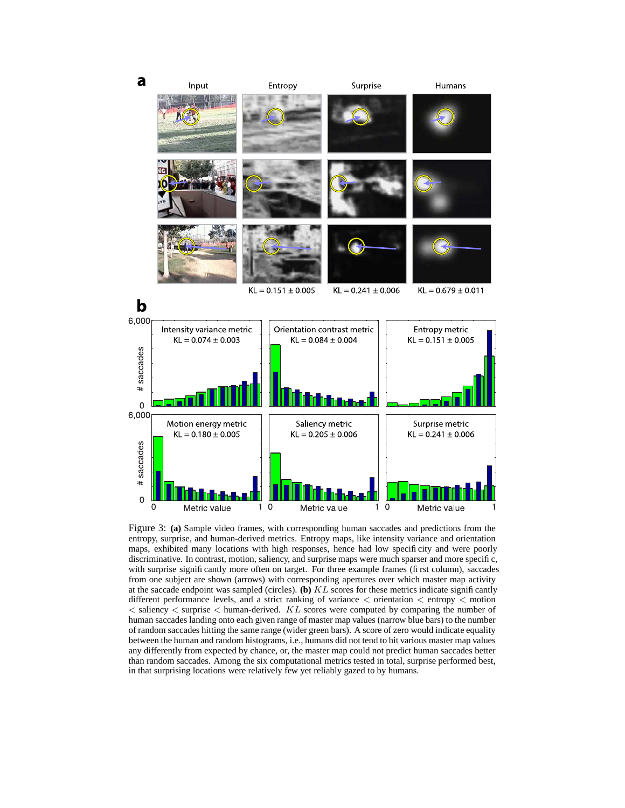

Figure 3: **(a)** Sample video frames, with corresponding human saccades and predictions from the entropy, surprise, and human-derived metrics. Entropy maps, like intensity variance and orientation maps, exhibited many locations with high responses, hence had low specificity and were poorly discriminative. In contrast, motion, saliency, and surprise maps were much sparser and more specific, with surprise significantly more often on target. For three example frames (first column), saccades from one subject are shown (arrows) with corresponding apertures over which master map activity at the saccade endpoint was sampled (circles). **(b)** KL scores for these metrics indicate significantly different performance levels, and a strict ranking of variance < orientation < entropy < motion  $\langle$  saliency  $\langle$  surprise  $\langle$  human-derived. KL scores were computed by comparing the number of human saccades landing onto each given range of master map values (narrow blue bars) to the number of random saccades hitting the same range (wider green bars). A score of zero would indicate equality between the human and random histograms, i.e., humans did not tend to hit various master map values any differently from expected by chance, or, the master map could not predict human saccades better than random saccades. Among the six computational metrics tested in total, surprise performed best, in that surprising locations were relatively few yet reliably gazed to by humans.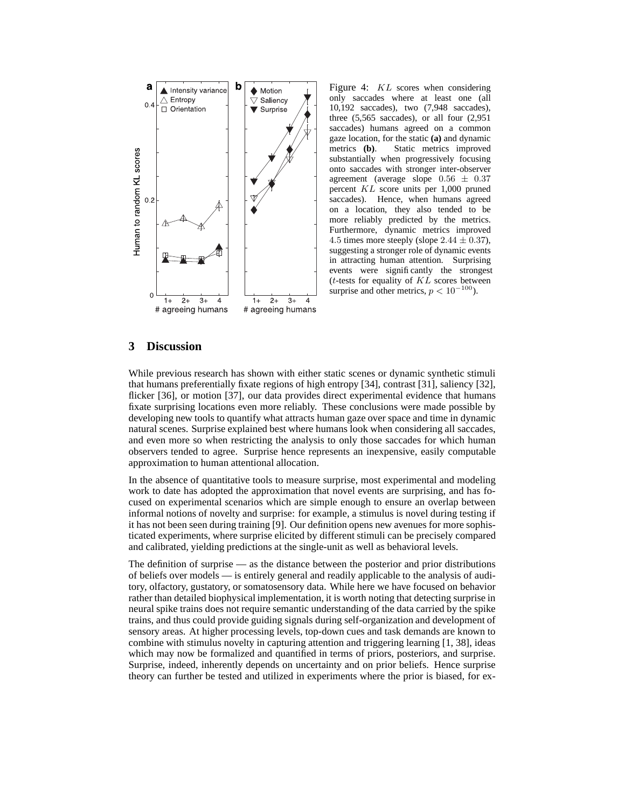

Figure 4: KL scores when considering only saccades where at least one (all 10,192 saccades), two (7,948 saccades), three  $(5,565$  saccades), or all four  $(2,951)$ saccades) humans agreed on a common gaze location, for the static **(a)** and dynamic metrics **(b)**. Static metrics improved substantially when progressively focusing onto saccades with stronger inter-observer agreement (average slope 0.56 ± 0.37 percent KL score units per 1,000 pruned saccades). Hence, when humans agreed on a location, they also tended to be more reliably predicted by the metrics. Furthermore, dynamic metrics improved 4.5 times more steeply (slope  $2.44 \pm 0.37$ ), suggesting a stronger role of dynamic events in attracting human attention. Surprising events were significantly the strongest ( $t$ -tests for equality of  $KL$  scores between surprise and other metrics,  $p < 10^{-100}$ ).

# **3 Discussion**

While previous research has shown with either static scenes or dynamic synthetic stimuli that humans preferentially fixate regions of high entropy [34], contrast [31], saliency [32], flicker [36], or motion [37], our data provides direct experimental evidence that humans fixate surprising locations even more reliably. These conclusions were made possible by developing new tools to quantify what attracts human gaze over space and time in dynamic natural scenes. Surprise explained best where humans look when considering all saccades, and even more so when restricting the analysis to only those saccades for which human observers tended to agree. Surprise hence represents an inexpensive, easily computable approximation to human attentional allocation.

In the absence of quantitative tools to measure surprise, most experimental and modeling work to date has adopted the approximation that novel events are surprising, and has focused on experimental scenarios which are simple enough to ensure an overlap between informal notions of novelty and surprise: for example, a stimulus is novel during testing if it has not been seen during training [9]. Our definition opens new avenues for more sophisticated experiments, where surprise elicited by different stimuli can be precisely compared and calibrated, yielding predictions at the single-unit as well as behavioral levels.

The definition of surprise — as the distance between the posterior and prior distributions of beliefs over models — is entirely general and readily applicable to the analysis of auditory, olfactory, gustatory, or somatosensory data. While here we have focused on behavior rather than detailed biophysical implementation, it is worth noting that detecting surprise in neural spike trains does not require semantic understanding of the data carried by the spike trains, and thus could provide guiding signals during self-organization and development of sensory areas. At higher processing levels, top-down cues and task demands are known to combine with stimulus novelty in capturing attention and triggering learning [1, 38], ideas which may now be formalized and quantified in terms of priors, posteriors, and surprise. Surprise, indeed, inherently depends on uncertainty and on prior beliefs. Hence surprise theory can further be tested and utilized in experiments where the prior is biased, for ex-